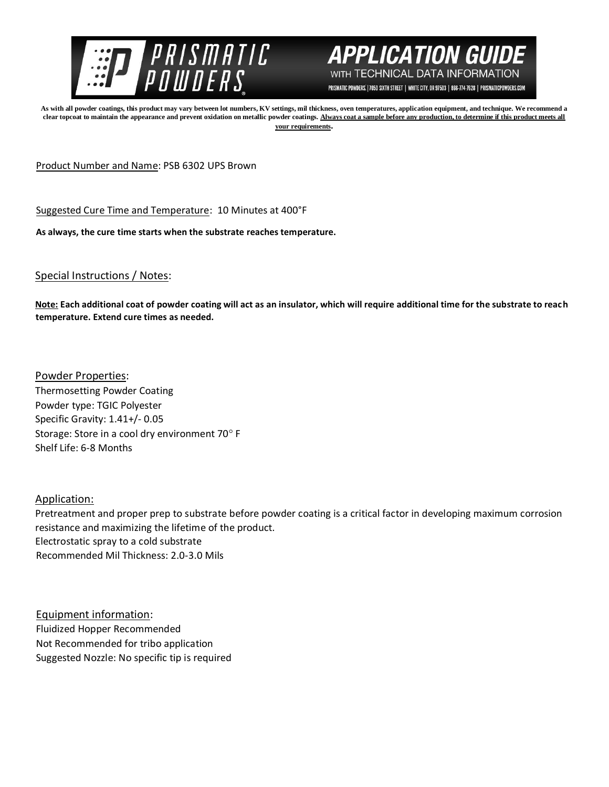



PRISMATIC POWDERS. | 7050 SIXTH STREET | WHITE CITY, OR 97503 | 866-774-7628 | PRISMATICPOWDERS.COM

**As with all powder coatings, this product may vary between lot numbers, KV settings, mil thickness, oven temperatures, application equipment, and technique. We recommend a clear topcoat to maintain the appearance and prevent oxidation on metallic powder coatings. Always coat a sample before any production, to determine if this product meets all your requirements.** 

Product Number and Name: PSB 6302 UPS Brown

Suggested Cure Time and Temperature: 10 Minutes at 400°F

**As always, the cure time starts when the substrate reaches temperature.**

Special Instructions / Notes:

**Note: Each additional coat of powder coating will act as an insulator, which will require additional time for the substrate to reach temperature. Extend cure times as needed.** 

Powder Properties: Thermosetting Powder Coating Powder type: TGIC Polyester Specific Gravity: 1.41+/- 0.05 Storage: Store in a cool dry environment 70° F Shelf Life: 6-8 Months

Application:

Pretreatment and proper prep to substrate before powder coating is a critical factor in developing maximum corrosion resistance and maximizing the lifetime of the product. Electrostatic spray to a cold substrate Recommended Mil Thickness: 2.0-3.0 Mils

Equipment information: Fluidized Hopper Recommended Not Recommended for tribo application Suggested Nozzle: No specific tip is required